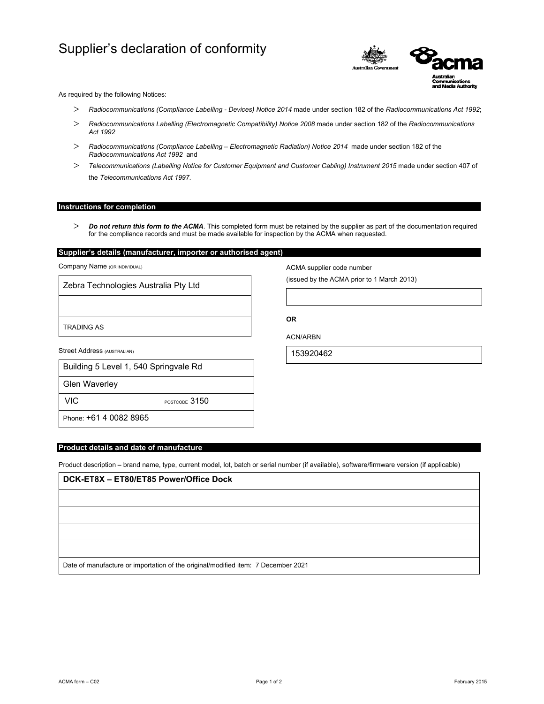# Supplier's declaration of conformity



As required by the following Notices:

- *Radiocommunications (Compliance Labelling Devices) Notice 2014* made under section 182 of the *Radiocommunications Act 1992*;
- *Radiocommunications Labelling (Electromagnetic Compatibility) Notice 2008* made under section 182 of the *Radiocommunications Act 1992*
- *Radiocommunications (Compliance Labelling Electromagnetic Radiation) Notice 2014* made under section 182 of the *Radiocommunications Act 1992* and
- *Telecommunications (Labelling Notice for Customer Equipment and Customer Cabling) Instrument 2015* made under section 407 of the *Telecommunications Act 1997*.

#### **Instructions for completion**

 *Do not return this form to the ACMA*. This completed form must be retained by the supplier as part of the documentation required for the compliance records and must be made available for inspection by the ACMA when requested.

# **Supplier's details (manufacturer, importer or authorised agent)**

Company Name (OR INDIVIDUAL)

Zebra Technologies Australia Pty Ltd

TRADING AS

Street Address (AUSTRALIAN)

| Building 5 Level 1, 540 Springvale Rd |
|---------------------------------------|
|                                       |

Glen Waverley

VIC POSTCODE 3150

Phone: +61 4 0082 8965

## **Product details and date of manufacture**

Product description – brand name, type, current model, lot, batch or serial number (if available), software/firmware version (if applicable)

| DCK-ET8X - ET80/ET85 Power/Office Dock                                            |  |
|-----------------------------------------------------------------------------------|--|
|                                                                                   |  |
|                                                                                   |  |
|                                                                                   |  |
|                                                                                   |  |
| Date of manufacture or importation of the original/modified item: 7 December 2021 |  |

ACMA form – C02 Page 1 of 2 February 2015

ACMA supplier code number

(issued by the ACMA prior to 1 March 2013)

**OR** 

ACN/ARBN

153920462